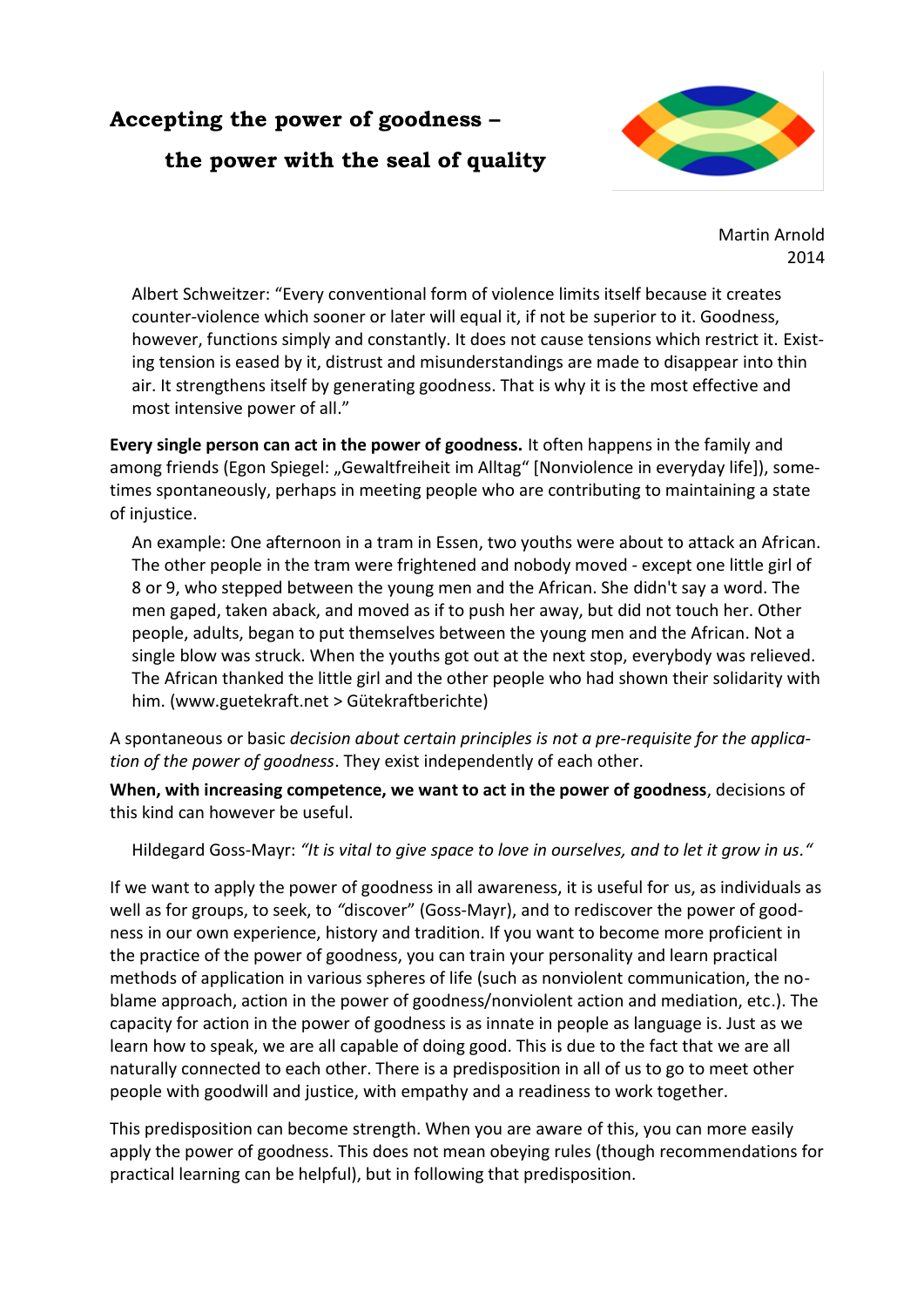## **Accepting the power of goodness – the power with the seal of quality**



Martin Arnold 2014

Albert Schweitzer: "Every conventional form of violence limits itself because it creates counter-violence which sooner or later will equal it, if not be superior to it. Goodness, however, functions simply and constantly. It does not cause tensions which restrict it. Existing tension is eased by it, distrust and misunderstandings are made to disappear into thin air. It strengthens itself by generating goodness. That is why it is the most effective and most intensive power of all."

**Every single person can act in the power of goodness.** It often happens in the family and among friends (Egon Spiegel: "Gewaltfreiheit im Alltag" [Nonviolence in everyday life]), sometimes spontaneously, perhaps in meeting people who are contributing to maintaining a state of injustice.

An example: One afternoon in a tram in Essen, two youths were about to attack an African. The other people in the tram were frightened and nobody moved - except one little girl of 8 or 9, who stepped between the young men and the African. She didn't say a word. The men gaped, taken aback, and moved as if to push her away, but did not touch her. Other people, adults, began to put themselves between the young men and the African. Not a single blow was struck. When the youths got out at the next stop, everybody was relieved. The African thanked the little girl and the other people who had shown their solidarity with him. [\(www.guetekraft.net](http://www.guetekraft.net/) > Gütekraftberichte)

A spontaneous or basic *decision about certain principles is not a pre-requisite for the application of the power of goodness*. They exist independently of each other.

**When, with increasing competence, we want to act in the power of goodness**, decisions of this kind can however be useful.

Hildegard Goss-Mayr: *"It is vital to give space to love in ourselves, and to let it grow in us."*

If we want to apply the power of goodness in all awareness, it is useful for us, as individuals as well as for groups, to seek, to *"*discover" (Goss-Mayr), and to rediscover the power of goodness in our own experience, history and tradition. If you want to become more proficient in the practice of the power of goodness, you can train your personality and learn practical methods of application in various spheres of life (such as nonviolent communication, the noblame approach, action in the power of goodness/nonviolent action and mediation, etc.). The capacity for action in the power of goodness is as innate in people as language is. Just as we learn how to speak, we are all capable of doing good. This is due to the fact that we are all naturally connected to each other. There is a predisposition in all of us to go to meet other people with goodwill and justice, with empathy and a readiness to work together.

This predisposition can become strength. When you are aware of this, you can more easily apply the power of goodness. This does not mean obeying rules (though recommendations for practical learning can be helpful), but in following that predisposition.